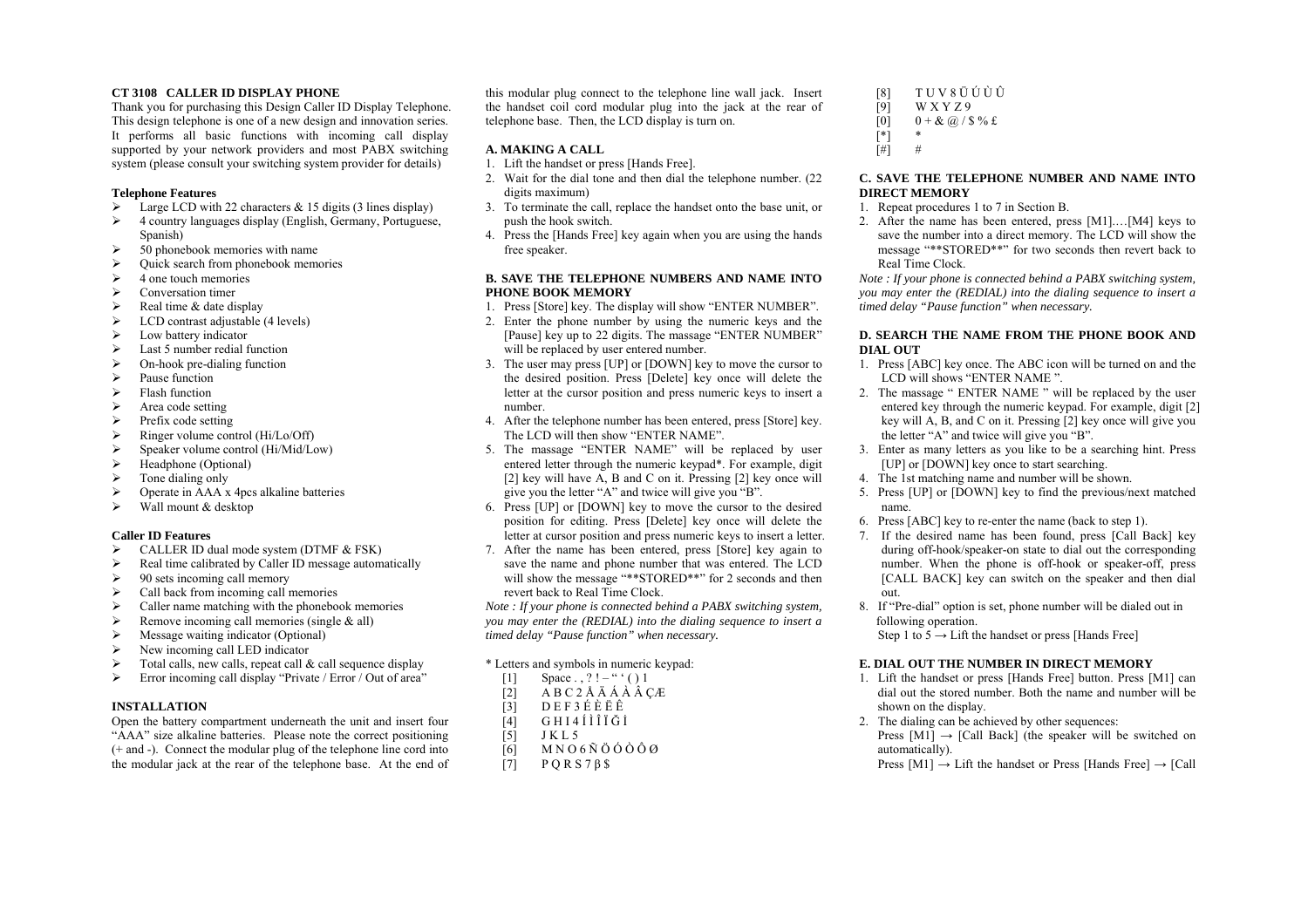#### **CT 3108 CALLER ID DISPLAY PHONE**

Thank you for purchasing this Design Caller ID Display Telephone. This design telephone is one of a new design and innovation series. It performs all basic functions with incoming call display supported by your network providers and most PABX switching system (please consult your switching system provider for details)

## **Telephone Features**

- $\blacktriangleright$ Large LCD with 22 characters  $\&$  15 digits (3 lines display)
- ¾ 4 country languages display (English, Germany, Portuguese, Spanish)
- ¾50 phonebook memories with name
- $\blacktriangleright$ Quick search from phonebook memories
- $\blacktriangleright$ 4 one touch memories
- $\blacktriangleright$ Conversation timer
- $\blacktriangleright$ Real time & date display
- $\blacktriangleright$ LCD contrast adjustable (4 levels)
- ¾Low battery indicator
- $\blacktriangleright$ Last 5 number redial function
- $\blacktriangleright$ On-hook pre-dialing function
- $\blacktriangleright$ Pause function
- ¾Flash function
- $\blacktriangleright$ Area code setting
- $\blacktriangleright$ Prefix code setting
- ¾Ringer volume control (Hi/Lo/Off)
- ¾Speaker volume control (Hi/Mid/Low)
- $\blacktriangleright$ Headphone (Optional)
- $\blacktriangleright$ Tone dialing only
- ¾Operate in AAA x 4pcs alkaline batteries
- $\blacktriangleright$ Wall mount & desktop

## **Caller ID Features**

- ¾CALLER ID dual mode system (DTMF & FSK)
- $\blacktriangleright$ Real time calibrated by Caller ID message automatically
- $\blacktriangleright$ 90 sets incoming call memory
- $\blacktriangleright$ Call back from incoming call memories
- $\blacktriangleright$ Caller name matching with the phonebook memories
- $\blacktriangleright$ Remove incoming call memories (single & all)
- $\blacktriangleright$ Message waiting indicator (Optional)
- ¾New incoming call LED indicator
- $\blacktriangleright$ Total calls, new calls, repeat call  $\&$  call sequence display
- $\blacktriangleright$ Error incoming call display "Private / Error / Out of area"

## **INSTALLATION**

Open the battery compartment underneath the unit and insert four "AAA" size alkaline batteries. Please note the correct positioning (+ and -). Connect the modular plug of the telephone line cord into the modular jack at the rear of the telephone base. At the end of this modular plug connect to the telephone line wall jack. Insert the handset coil cord modular plug into the jack at the rear of telephone base. Then, the LCD display is turn on.

# **A. MAKING A CALL**

- 1. Lift the handset or press [Hands Free].
- 2. Wait for the dial tone and then dial the telephone number. (22 digits maximum)
- 3. To terminate the call, replace the handset onto the base unit, or push the hook switch.
- 4. Press the [Hands Free] key again when you are using the hands free speaker.

## **B. SAVE THE TELEPHONE NUMBERS AND NAME INTO PHONE BOOK MEMORY**

- 1. Press [Store] key. The display will show "ENTER NUMBER".
- 2. Enter the phone number by using the numeric keys and the [Pause] key up to 22 digits. The massage "ENTER NUMBER" will be replaced by user entered number.
- 3. The user may press [UP] or [DOWN] key to move the cursor to the desired position. Press [Delete] key once will delete the letter at the cursor position and press numeric keys to insert a number.
- 4. After the telephone number has been entered, press [Store] key. The LCD will then show "ENTER NAME".
- 5. The massage "ENTER NAME" will be replaced by user entered letter through the numeric keypad\*. For example, digit [2] key will have A, B and C on it. Pressing [2] key once will give you the letter "A" and twice will give you "B".
- 6. Press [UP] or [DOWN] key to move the cursor to the desired position for editing. Press [Delete] key once will delete the letter at cursor position and press numeric keys to insert a letter.
- 7. After the name has been entered, press [Store] key again to save the name and phone number that was entered. The LCD will show the message "\*\*STORED\*\*" for 2 seconds and then revert back to Real Time Clock.

*Note : If your phone is connected behind a PABX switching system, you may enter the (REDIAL) into the dialing sequence to insert a timed delay "Pause function" when necessary.* 

## \* Letters and symbols in numeric keypad:

- [1] Space . , ? ! " ' ( ) 1
- $[2]$  ABC<sub>2</sub>ÅÄÁÅÂÇÆ
- $\begin{bmatrix} 3 \end{bmatrix}$  DEF3ÉÈËÊ<br>[4] GHI4ÍÌÎIĞİ
- [4] GHI4ÍÌÎÏĞİ
- [5] J K L 5
- $[6]$  MNO6ÑÖÓÒÔØ
- $[7]$  P Q R S 7  $\beta$  \$

 $[8]$   $T U V 8 \ddot{U} \dot{U} \dot{U}$  $[9]$  W X Y Z 9  $[0]$  0 + & @ / \$ % £  $\begin{bmatrix} * \\ \end{bmatrix}$  \*<br> $\begin{bmatrix} \# \\ \end{bmatrix}$  #  $\overline{[} \# \overline{]}$ 

#### **C. SAVE THE TELEPHONE NUMBER AND NAME INTO DIRECT MEMORY**

- 1. Repeat procedures 1 to 7 in Section B.
- 2. After the name has been entered, press [M1].…[M4] keys to save the number into a direct memory. The LCD will show the message "\*\*STORED\*\*" for two seconds then revert back to Real Time Clock.

*Note : If your phone is connected behind a PABX switching system, you may enter the (REDIAL) into the dialing sequence to insert a timed delay "Pause function" when necessary.* 

## **D. SEARCH THE NAME FROM THE PHONE BOOK AND DIAL OUT**

- 1. Press [ABC] key once. The ABC icon will be turned on and the LCD will shows "ENTER NAME ".
- 2. The massage " ENTER NAME " will be replaced by the user entered key through the numeric keypad. For example, digit [2] key will A, B, and C on it. Pressing [2] key once will give you the letter "A" and twice will give you "B".
- 3. Enter as many letters as you like to be a searching hint. Press [UP] or [DOWN] key once to start searching.
- 4. The 1st matching name and number will be shown.
- 5. Press [UP] or [DOWN] key to find the previous/next matched name.
- 6. Press [ABC] key to re-enter the name (back to step 1).
- 7. If the desired name has been found, press [Call Back] key during off-hook/speaker-on state to dial out the corresponding number. When the phone is off-hook or speaker-off, press [CALL BACK] key can switch on the speaker and then dial out.
- 8. If "Pre-dial" option is set, phone number will be dialed out in following operation.

Step 1 to  $5 \rightarrow$  Lift the handset or press [Hands Free]

## **E. DIAL OUT THE NUMBER IN DIRECT MEMORY**

- 1. Lift the handset or press [Hands Free] button. Press [M1] can dial out the stored number. Both the name and number will be shown on the display.
- 2. The dialing can be achieved by other sequences: Press  $[M1] \rightarrow [Call Back]$  (the speaker will be switched on automatically).
	- Press  $[M1] \rightarrow L$  ift the handset or Press [Hands Free]  $\rightarrow$  [Call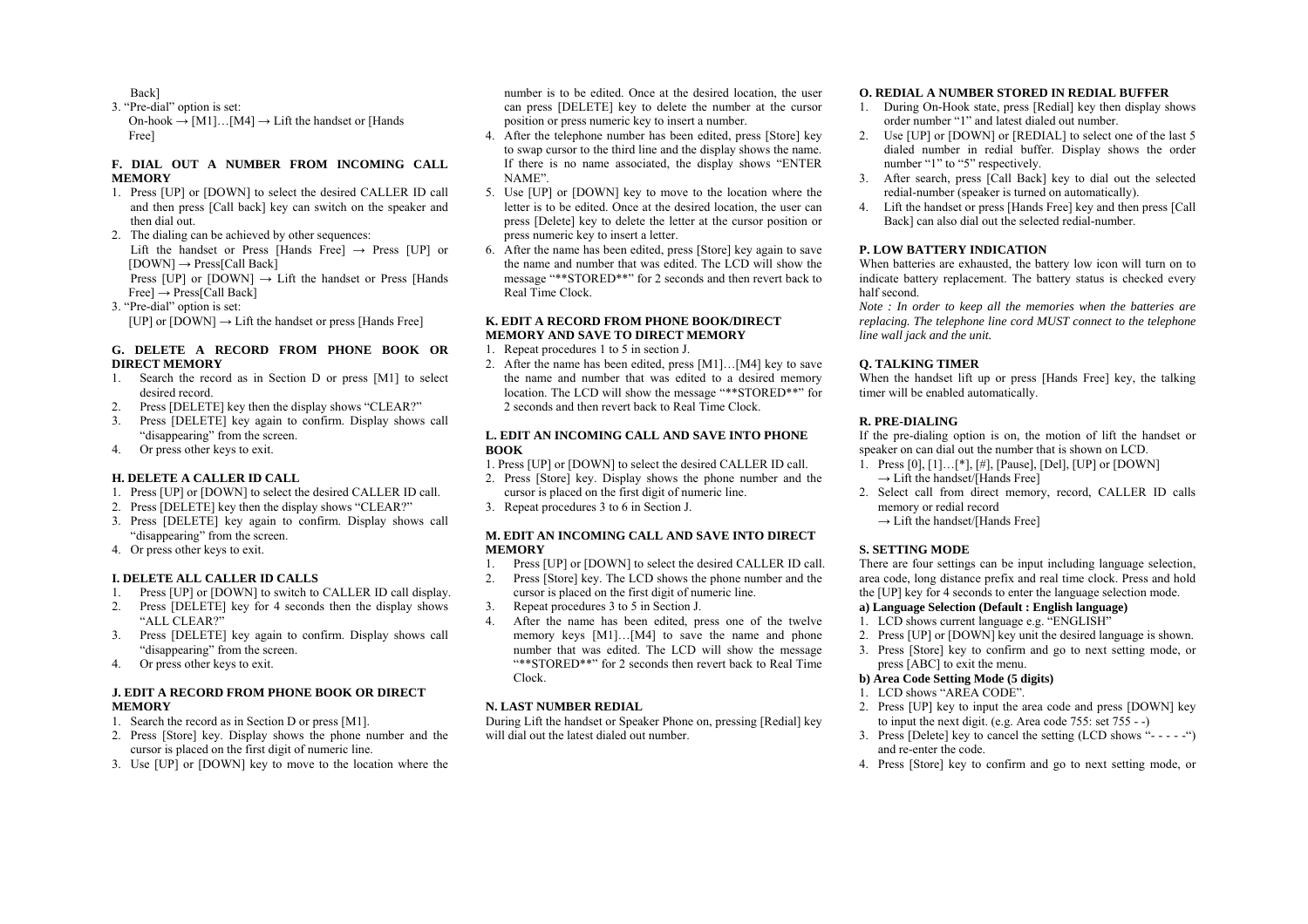Back]

3. "Pre-dial" option is set: On-hook  $\rightarrow$  [M1]...[M4]  $\rightarrow$  Lift the handset or [Hands Free]

## **F. DIAL OUT A NUMBER FROM INCOMING CALL MEMORY**

- 1. Press [UP] or [DOWN] to select the desired CALLER ID call and then press [Call back] key can switch on the speaker and then dial out.
- 2. The dialing can be achieved by other sequences: Lift the handset or Press [Hands Free]  $\rightarrow$  Press [UP] or  $[DOWN] \rightarrow Press[Call Back]$ Press [UP] or  $[DOWN] \rightarrow$  Lift the handset or Press [Hands]  $Free] \rightarrow Press[Call Back]$
- 3. "Pre-dial" option is set: [UP] or  $[DOWN] \rightarrow Lift$  the handset or press [Hands Free]

## **G. DELETE A RECORD FROM PHONE BOOK OR DIRECT MEMORY**

- 1. Search the record as in Section D or press [M1] to select desired record.
- 2.Press [DELETE] key then the display shows "CLEAR?"
- 3. Press [DELETE] key again to confirm. Display shows call "disappearing" from the screen.
- 4. Or press other keys to exit.

## **H. DELETE A CALLER ID CALL**

- 1. Press [UP] or [DOWN] to select the desired CALLER ID call.
- 2. Press [DELETE] key then the display shows "CLEAR?"
- 3. Press [DELETE] key again to confirm. Display shows call "disappearing" from the screen.
- 4. Or press other keys to exit.

## **I. DELETE ALL CALLER ID CALLS**

- 1.Press [UP] or [DOWN] to switch to CALLER ID call display.
- 2. Press [DELETE] key for 4 seconds then the display shows "ALL CLEAR?"
- 3. Press [DELETE] key again to confirm. Display shows call "disappearing" from the screen.
- 4.Or press other keys to exit.

# **J. EDIT A RECORD FROM PHONE BOOK OR DIRECT MEMORY**

- 1. Search the record as in Section D or press [M1].
- 2. Press [Store] key. Display shows the phone number and the cursor is placed on the first digit of numeric line.
- 3. Use [UP] or [DOWN] key to move to the location where the

number is to be edited. Once at the desired location, the user can press [DELETE] key to delete the number at the cursor position or press numeric key to insert a number.

- 4. After the telephone number has been edited, press [Store] key to swap cursor to the third line and the display shows the name. If there is no name associated, the display shows "ENTER NAME".
- 5. Use [UP] or [DOWN] key to move to the location where the letter is to be edited. Once at the desired location, the user can press [Delete] key to delete the letter at the cursor position or press numeric key to insert a letter.
- 6. After the name has been edited, press [Store] key again to save the name and number that was edited. The LCD will show the message "\*\*STORED\*\*" for 2 seconds and then revert back to Real Time Clock.

## **K. EDIT A RECORD FROM PHONE BOOK/DIRECT MEMORY AND SAVE TO DIRECT MEMORY**

- 1. Repeat procedures 1 to 5 in section J.
- 2. After the name has been edited, press [M1]…[M4] key to save the name and number that was edited to a desired memory location. The LCD will show the message "\*\*STORED\*\*" for 2 seconds and then revert back to Real Time Clock.

## **L. EDIT AN INCOMING CALL AND SAVE INTO PHONE BOOK**

1. Press [UP] or [DOWN] to select the desired CALLER ID call.

- 2. Press [Store] key. Display shows the phone number and the cursor is placed on the first digit of numeric line.
- 3. Repeat procedures 3 to 6 in Section J.

# **M. EDIT AN INCOMING CALL AND SAVE INTO DIRECT MEMORY**

- 1.Press [UP] or [DOWN] to select the desired CALLER ID call.
- 2. Press [Store] key. The LCD shows the phone number and the cursor is placed on the first digit of numeric line.
- 3.Repeat procedures 3 to 5 in Section J.
- 4. After the name has been edited, press one of the twelve memory keys [M1]...[M4] to save the name and phone number that was edited. The LCD will show the message "\*\*STORED\*\*" for 2 seconds then revert back to Real Time Clock.

# **N. LAST NUMBER REDIAL**

During Lift the handset or Speaker Phone on, pressing [Redial] key will dial out the latest dialed out number.

#### **O. REDIAL A NUMBER STORED IN REDIAL BUFFER**

- 1. During On-Hook state, press [Redial] key then display shows order number "1" and latest dialed out number.
- 2. Use [UP] or [DOWN] or [REDIAL] to select one of the last 5 dialed number in redial buffer. Display shows the order number "1" to "5" respectively.
- 3. After search, press [Call Back] key to dial out the selected redial-number (speaker is turned on automatically).
- 4. Lift the handset or press [Hands Free] key and then press [Call Back] can also dial out the selected redial-number.

## **P. LOW BATTERY INDICATION**

When batteries are exhausted, the battery low icon will turn on to indicate battery replacement. The battery status is checked every half second.

*Note : In order to keep all the memories when the batteries are replacing. The telephone line cord MUST connect to the telephone line wall jack and the unit.* 

## **Q. TALKING TIMER**

When the handset lift up or press [Hands Free] key, the talking timer will be enabled automatically.

# **R. PRE-DIALING**

If the pre-dialing option is on, the motion of lift the handset or speaker on can dial out the number that is shown on LCD.

- 1. Press [0], [1]…[\*], [#], [Pause], [Del], [UP] or [DOWN]  $\rightarrow$  Lift the handset/[Hands Free]
- 2. Select call from direct memory, record, CALLER ID calls memory or redial record
	- $\rightarrow$  Lift the handset/[Hands Free]

# **S. SETTING MODE**

There are four settings can be input including language selection, area code, long distance prefix and real time clock. Press and hold the [UP] key for 4 seconds to enter the language selection mode.

# **a) Language Selection (Default : English language)**

- 1. LCD shows current language e.g. "ENGLISH"
- 2. Press [UP] or [DOWN] key unit the desired language is shown.
- 3. Press [Store] key to confirm and go to next setting mode, or press [ABC] to exit the menu.

## **b) Area Code Setting Mode (5 digits)**

- 1. LCD shows "AREA CODE".
- 2. Press [UP] key to input the area code and press [DOWN] key to input the next digit. (e.g. Area code 755: set 755 - -)
- 3. Press [Delete] key to cancel the setting (LCD shows "- - -") and re-enter the code.
- 4. Press [Store] key to confirm and go to next setting mode, or